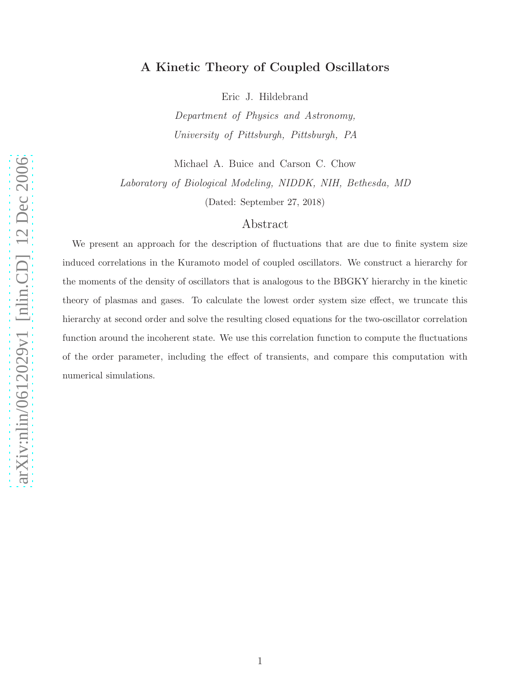## A Kinetic Theory of Coupled Oscillators

Eric J. Hildebrand

Department of Physics and Astronomy, University of Pittsburgh, Pittsburgh, PA

Michael A. Buice and Carson C. Chow

Laboratory of Biological Modeling, NIDDK, NIH, Bethesda, MD

(Dated: September 27, 2018)

## Abstract

We present an approach for the description of fluctuations that are due to finite system size induced correlations in the Kuramoto model of coupled oscillators. We construct a hierarchy for the moments of the density of oscillators that is analogous to the BBGKY hierarchy in the kinetic theory of plasmas and gases. To calculate the lowest order system size effect, we truncate this hierarchy at second order and solve the resulting closed equations for the two-oscillator correlation function around the incoherent state. We use this correlation function to compute the fluctuations of the order parameter, including the effect of transients, and compare this computation with numerical simulations.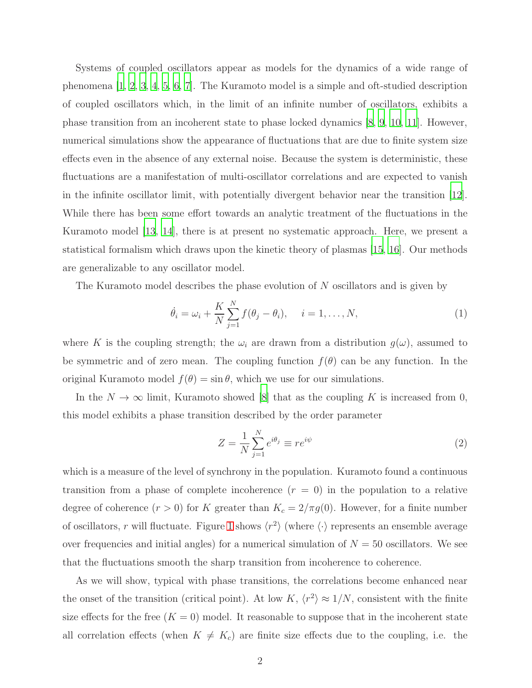Systems of coupled oscillators appear as models for the dynamics of a wide range of phenomena [\[1,](#page-9-0) [2](#page-9-1), [3,](#page-9-2) [4,](#page-9-3) [5,](#page-9-4) [6](#page-9-5), [7\]](#page-9-6). The Kuramoto model is a simple and oft-studied description of coupled oscillators which, in the limit of an infinite number of oscillators, exhibits a phase transition from an incoherent state to phase locked dynamics [\[8,](#page-9-7) [9,](#page-9-8) [10](#page-10-0), [11](#page-10-1)]. However, numerical simulations show the appearance of fluctuations that are due to finite system size effects even in the absence of any external noise. Because the system is deterministic, these fluctuations are a manifestation of multi-oscillator correlations and are expected to vanish in the infinite oscillator limit, with potentially divergent behavior near the transition [\[12\]](#page-10-2). While there has been some effort towards an analytic treatment of the fluctuations in the Kuramoto model [\[13](#page-10-3), [14\]](#page-10-4), there is at present no systematic approach. Here, we present a statistical formalism which draws upon the kinetic theory of plasmas [\[15,](#page-10-5) [16\]](#page-10-6). Our methods are generalizable to any oscillator model.

The Kuramoto model describes the phase evolution of N oscillators and is given by

<span id="page-1-0"></span>
$$
\dot{\theta}_i = \omega_i + \frac{K}{N} \sum_{j=1}^N f(\theta_j - \theta_i), \quad i = 1, \dots, N,
$$
\n(1)

where K is the coupling strength; the  $\omega_i$  are drawn from a distribution  $g(\omega)$ , assumed to be symmetric and of zero mean. The coupling function  $f(\theta)$  can be any function. In the original Kuramoto model  $f(\theta) = \sin \theta$ , which we use for our simulations.

In the  $N \to \infty$  limit, Kuramoto showed [\[8\]](#page-9-7) that as the coupling K is increased from 0, this model exhibits a phase transition described by the order parameter

$$
Z = \frac{1}{N} \sum_{j=1}^{N} e^{i\theta_j} \equiv r e^{i\psi} \tag{2}
$$

which is a measure of the level of synchrony in the population. Kuramoto found a continuous transition from a phase of complete incoherence  $(r = 0)$  in the population to a relative degree of coherence  $(r > 0)$  for K greater than  $K_c = 2/\pi g(0)$ . However, for a finite number of oscillators, r will fluctuate. Figure [1](#page-2-0) shows  $\langle r^2 \rangle$  (where  $\langle \cdot \rangle$  represents an ensemble average over frequencies and initial angles) for a numerical simulation of  $N = 50$  oscillators. We see that the fluctuations smooth the sharp transition from incoherence to coherence.

As we will show, typical with phase transitions, the correlations become enhanced near the onset of the transition (critical point). At low K,  $\langle r^2 \rangle \approx 1/N$ , consistent with the finite size effects for the free  $(K = 0)$  model. It reasonable to suppose that in the incoherent state all correlation effects (when  $K \neq K_c$ ) are finite size effects due to the coupling, i.e. the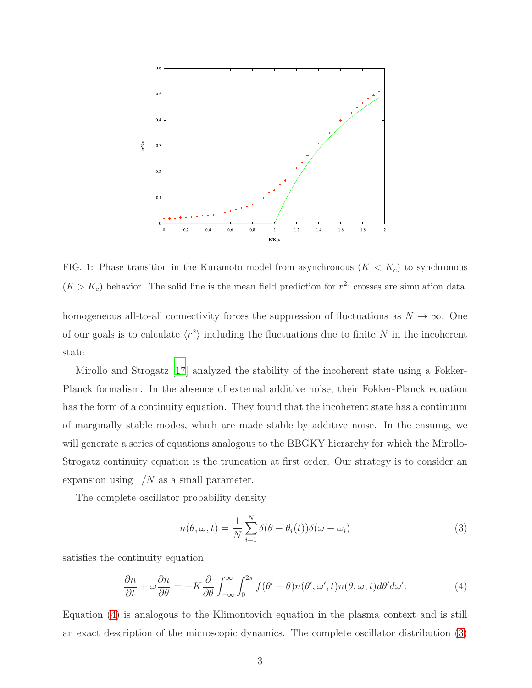

<span id="page-2-0"></span>FIG. 1: Phase transition in the Kuramoto model from asynchronous  $(K < K_c)$  to synchronous  $(K > K<sub>c</sub>)$  behavior. The solid line is the mean field prediction for  $r<sup>2</sup>$ ; crosses are simulation data.

homogeneous all-to-all connectivity forces the suppression of fluctuations as  $N \to \infty$ . One of our goals is to calculate  $\langle r^2 \rangle$  including the fluctuations due to finite N in the incoherent state.

Mirollo and Strogatz [\[17\]](#page-10-7) analyzed the stability of the incoherent state using a Fokker-Planck formalism. In the absence of external additive noise, their Fokker-Planck equation has the form of a continuity equation. They found that the incoherent state has a continuum of marginally stable modes, which are made stable by additive noise. In the ensuing, we will generate a series of equations analogous to the BBGKY hierarchy for which the Mirollo-Strogatz continuity equation is the truncation at first order. Our strategy is to consider an expansion using  $1/N$  as a small parameter.

The complete oscillator probability density

<span id="page-2-2"></span>
$$
n(\theta, \omega, t) = \frac{1}{N} \sum_{i=1}^{N} \delta(\theta - \theta_i(t)) \delta(\omega - \omega_i)
$$
\n(3)

satisfies the continuity equation

<span id="page-2-1"></span>
$$
\frac{\partial n}{\partial t} + \omega \frac{\partial n}{\partial \theta} = -K \frac{\partial}{\partial \theta} \int_{-\infty}^{\infty} \int_{0}^{2\pi} f(\theta' - \theta) n(\theta', \omega', t) n(\theta, \omega, t) d\theta' d\omega'. \tag{4}
$$

Equation [\(4\)](#page-2-1) is analogous to the Klimontovich equation in the plasma context and is still an exact description of the microscopic dynamics. The complete oscillator distribution [\(3\)](#page-2-2)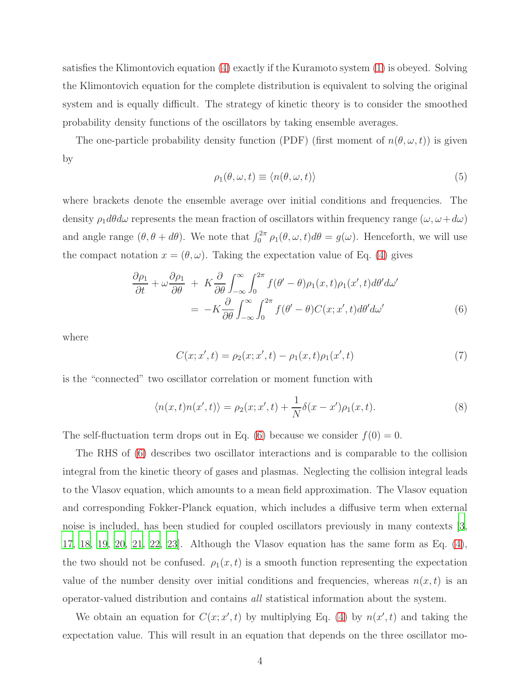satisfies the Klimontovich equation [\(4\)](#page-2-1) exactly if the Kuramoto system [\(1\)](#page-1-0) is obeyed. Solving the Klimontovich equation for the complete distribution is equivalent to solving the original system and is equally difficult. The strategy of kinetic theory is to consider the smoothed probability density functions of the oscillators by taking ensemble averages.

The one-particle probability density function (PDF) (first moment of  $n(\theta, \omega, t)$ ) is given by

$$
\rho_1(\theta, \omega, t) \equiv \langle n(\theta, \omega, t) \rangle \tag{5}
$$

where brackets denote the ensemble average over initial conditions and frequencies. The density  $\rho_1 d\theta d\omega$  represents the mean fraction of oscillators within frequency range  $(\omega, \omega+d\omega)$ and angle range  $(\theta, \theta + d\theta)$ . We note that  $\int_0^{2\pi} \rho_1(\theta, \omega, t) d\theta = g(\omega)$ . Henceforth, we will use the compact notation  $x = (\theta, \omega)$ . Taking the expectation value of Eq. [\(4\)](#page-2-1) gives

<span id="page-3-0"></span>
$$
\frac{\partial \rho_1}{\partial t} + \omega \frac{\partial \rho_1}{\partial \theta} + K \frac{\partial}{\partial \theta} \int_{-\infty}^{\infty} \int_0^{2\pi} f(\theta' - \theta) \rho_1(x, t) \rho_1(x', t) d\theta' d\omega'
$$

$$
= -K \frac{\partial}{\partial \theta} \int_{-\infty}^{\infty} \int_0^{2\pi} f(\theta' - \theta) C(x; x', t) d\theta' d\omega'
$$
(6)

where

<span id="page-3-1"></span>
$$
C(x; x', t) = \rho_2(x; x', t) - \rho_1(x, t)\rho_1(x', t)
$$
\n(7)

is the "connected" two oscillator correlation or moment function with

<span id="page-3-2"></span>
$$
\langle n(x,t)n(x',t)\rangle = \rho_2(x;x',t) + \frac{1}{N}\delta(x-x')\rho_1(x,t). \tag{8}
$$

The self-fluctuation term drops out in Eq. [\(6\)](#page-3-0) because we consider  $f(0) = 0$ .

The RHS of [\(6\)](#page-3-0) describes two oscillator interactions and is comparable to the collision integral from the kinetic theory of gases and plasmas. Neglecting the collision integral leads to the Vlasov equation, which amounts to a mean field approximation. The Vlasov equation and corresponding Fokker-Planck equation, which includes a diffusive term when external noise is included, has been studied for coupled oscillators previously in many contexts [\[3,](#page-9-2) [17,](#page-10-7) [18,](#page-10-8) [19,](#page-10-9) [20,](#page-10-10) [21](#page-10-11), [22](#page-10-12), [23](#page-10-13)]. Although the Vlasov equation has the same form as Eq. [\(4\)](#page-2-1), the two should not be confused.  $\rho_1(x,t)$  is a smooth function representing the expectation value of the number density over initial conditions and frequencies, whereas  $n(x, t)$  is an operator-valued distribution and contains all statistical information about the system.

We obtain an equation for  $C(x; x', t)$  by multiplying Eq. [\(4\)](#page-2-1) by  $n(x', t)$  and taking the expectation value. This will result in an equation that depends on the three oscillator mo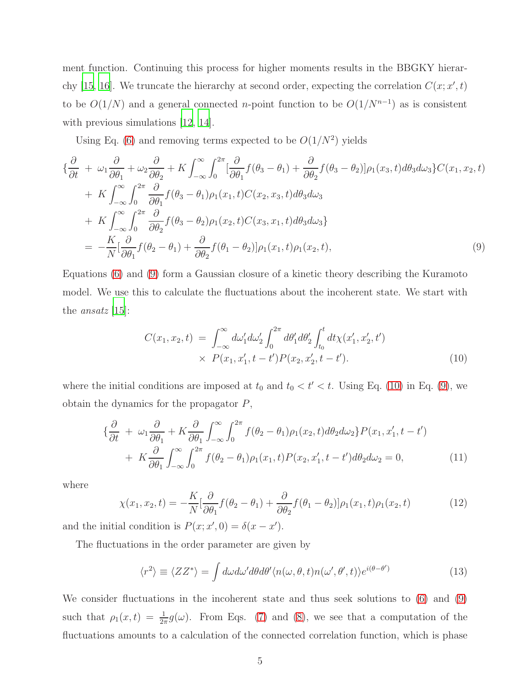ment function. Continuing this process for higher moments results in the BBGKY hierar-chy [\[15,](#page-10-5) [16](#page-10-6)]. We truncate the hierarchy at second order, expecting the correlation  $C(x; x', t)$ to be  $O(1/N)$  and a general connected n-point function to be  $O(1/N^{n-1})$  as is consistent with previous simulations [\[12,](#page-10-2) [14\]](#page-10-4).

Using Eq. [\(6\)](#page-3-0) and removing terms expected to be  $O(1/N^2)$  yields

<span id="page-4-0"></span>
$$
\{\frac{\partial}{\partial t} + \omega_1 \frac{\partial}{\partial \theta_1} + \omega_2 \frac{\partial}{\partial \theta_2} + K \int_{-\infty}^{\infty} \int_0^{2\pi} \left[ \frac{\partial}{\partial \theta_1} f(\theta_3 - \theta_1) + \frac{\partial}{\partial \theta_2} f(\theta_3 - \theta_2) \right] \rho_1(x_3, t) d\theta_3 d\omega_3 \} C(x_1, x_2, t) \n+ K \int_{-\infty}^{\infty} \int_0^{2\pi} \frac{\partial}{\partial \theta_1} f(\theta_3 - \theta_1) \rho_1(x_1, t) C(x_2, x_3, t) d\theta_3 d\omega_3 \n+ K \int_{-\infty}^{\infty} \int_0^{2\pi} \frac{\partial}{\partial \theta_2} f(\theta_3 - \theta_2) \rho_1(x_2, t) C(x_3, x_1, t) d\theta_3 d\omega_3 \} \n= -\frac{K}{N} \left[ \frac{\partial}{\partial \theta_1} f(\theta_2 - \theta_1) + \frac{\partial}{\partial \theta_2} f(\theta_1 - \theta_2) \right] \rho_1(x_1, t) \rho_1(x_2, t),
$$
\n(9)

Equations [\(6\)](#page-3-0) and [\(9\)](#page-4-0) form a Gaussian closure of a kinetic theory describing the Kuramoto model. We use this to calculate the fluctuations about the incoherent state. We start with the ansatz [\[15](#page-10-5)]:

<span id="page-4-1"></span>
$$
C(x_1, x_2, t) = \int_{-\infty}^{\infty} d\omega'_1 d\omega'_2 \int_0^{2\pi} d\theta'_1 d\theta'_2 \int_{t_0}^t dt \chi(x'_1, x'_2, t')
$$
  
 
$$
\times P(x_1, x'_1, t - t') P(x_2, x'_2, t - t'). \tag{10}
$$

where the initial conditions are imposed at  $t_0$  and  $t_0 < t' < t$ . Using Eq. [\(10\)](#page-4-1) in Eq. [\(9\)](#page-4-0), we obtain the dynamics for the propagator  $P$ ,

<span id="page-4-3"></span>
$$
\{\frac{\partial}{\partial t} + \omega_1 \frac{\partial}{\partial \theta_1} + K \frac{\partial}{\partial \theta_1} \int_{-\infty}^{\infty} \int_0^{2\pi} f(\theta_2 - \theta_1) \rho_1(x_2, t) d\theta_2 d\omega_2\} P(x_1, x_1', t - t') + K \frac{\partial}{\partial \theta_1} \int_{-\infty}^{\infty} \int_0^{2\pi} f(\theta_2 - \theta_1) \rho_1(x_1, t) P(x_2, x_1', t - t') d\theta_2 d\omega_2 = 0,
$$
\n(11)

where

$$
\chi(x_1, x_2, t) = -\frac{K}{N} \left[ \frac{\partial}{\partial \theta_1} f(\theta_2 - \theta_1) + \frac{\partial}{\partial \theta_2} f(\theta_1 - \theta_2) \right] \rho_1(x_1, t) \rho_1(x_2, t) \tag{12}
$$

and the initial condition is  $P(x; x', 0) = \delta(x - x')$ .

The fluctuations in the order parameter are given by

<span id="page-4-2"></span>
$$
\langle r^2 \rangle \equiv \langle ZZ^* \rangle = \int d\omega d\omega' d\theta d\theta' \langle n(\omega, \theta, t) n(\omega', \theta', t) \rangle e^{i(\theta - \theta')} \tag{13}
$$

We consider fluctuations in the incoherent state and thus seek solutions to [\(6\)](#page-3-0) and [\(9\)](#page-4-0) such that  $\rho_1(x,t) = \frac{1}{2\pi} g(\omega)$ . From Eqs. [\(7\)](#page-3-1) and [\(8\)](#page-3-2), we see that a computation of the fluctuations amounts to a calculation of the connected correlation function, which is phase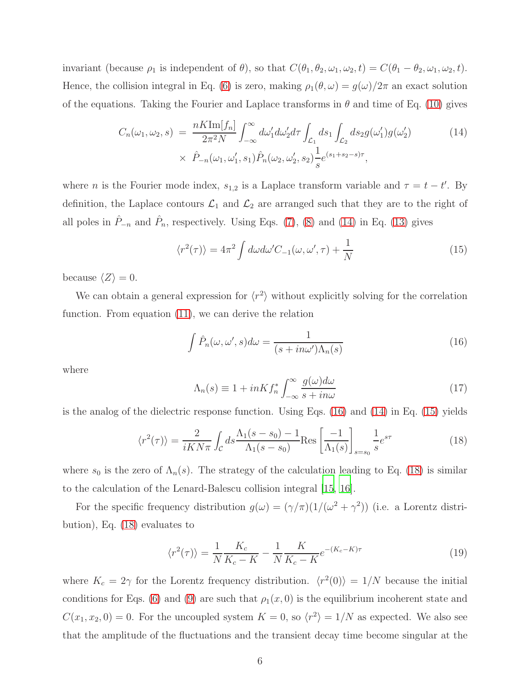invariant (because  $\rho_1$  is independent of  $\theta$ ), so that  $C(\theta_1, \theta_2, \omega_1, \omega_2, t) = C(\theta_1 - \theta_2, \omega_1, \omega_2, t)$ . Hence, the collision integral in Eq. [\(6\)](#page-3-0) is zero, making  $\rho_1(\theta, \omega) = g(\omega)/2\pi$  an exact solution of the equations. Taking the Fourier and Laplace transforms in  $\theta$  and time of Eq. [\(10\)](#page-4-1) gives

<span id="page-5-0"></span>
$$
C_n(\omega_1, \omega_2, s) = \frac{nK \text{Im}[f_n]}{2\pi^2 N} \int_{-\infty}^{\infty} d\omega'_1 d\omega'_2 d\tau \int_{\mathcal{L}_1} ds_1 \int_{\mathcal{L}_2} ds_2 g(\omega'_1) g(\omega'_2)
$$
(14)  

$$
\times \hat{P}_{-n}(\omega_1, \omega'_1, s_1) \hat{P}_n(\omega_2, \omega'_2, s_2) \frac{1}{s} e^{(s_1 + s_2 - s)\tau},
$$

where *n* is the Fourier mode index,  $s_{1,2}$  is a Laplace transform variable and  $\tau = t - t'$ . By definition, the Laplace contours  $\mathcal{L}_1$  and  $\mathcal{L}_2$  are arranged such that they are to the right of all poles in  $\hat{P}_{-n}$  and  $\hat{P}_n$ , respectively. Using Eqs. [\(7\)](#page-3-1), [\(8\)](#page-3-2) and [\(14\)](#page-5-0) in Eq. [\(13\)](#page-4-2) gives

<span id="page-5-2"></span>
$$
\langle r^2(\tau) \rangle = 4\pi^2 \int d\omega d\omega' C_{-1}(\omega, \omega', \tau) + \frac{1}{N}
$$
 (15)

because  $\langle Z \rangle = 0$ .

We can obtain a general expression for  $\langle r^2 \rangle$  without explicitly solving for the correlation function. From equation [\(11\)](#page-4-3), we can derive the relation

<span id="page-5-1"></span>
$$
\int \hat{P}_n(\omega, \omega', s) d\omega = \frac{1}{(s + in\omega')\Lambda_n(s)}
$$
(16)

where

$$
\Lambda_n(s) \equiv 1 + inK f_n^* \int_{-\infty}^{\infty} \frac{g(\omega) d\omega}{s + in\omega} \tag{17}
$$

is the analog of the dielectric response function. Using Eqs. [\(16\)](#page-5-1) and [\(14\)](#page-5-0) in Eq. [\(15\)](#page-5-2) yields

<span id="page-5-3"></span>
$$
\langle r^2(\tau) \rangle = \frac{2}{iKN\pi} \int_{\mathcal{C}} ds \frac{\Lambda_1(s-s_0) - 1}{\Lambda_1(s-s_0)} \text{Res} \left[ \frac{-1}{\Lambda_1(s)} \right]_{s=s_0} \frac{1}{s} e^{s\tau}
$$
(18)

where  $s_0$  is the zero of  $\Lambda_n(s)$ . The strategy of the calculation leading to Eq. [\(18\)](#page-5-3) is similar to the calculation of the Lenard-Balescu collision integral [\[15](#page-10-5), [16](#page-10-6)].

For the specific frequency distribution  $g(\omega) = (\gamma/\pi)(1/(\omega^2 + \gamma^2))$  (i.e. a Lorentz distribution), Eq. [\(18\)](#page-5-3) evaluates to

<span id="page-5-4"></span>
$$
\langle r^2(\tau) \rangle = \frac{1}{N} \frac{K_c}{K_c - K} - \frac{1}{N} \frac{K}{K_c - K} e^{-(K_c - K)\tau}
$$
\n
$$
\tag{19}
$$

where  $K_c = 2\gamma$  for the Lorentz frequency distribution.  $\langle r^2(0) \rangle = 1/N$  because the initial conditions for Eqs. [\(6\)](#page-3-0) and [\(9\)](#page-4-0) are such that  $\rho_1(x, 0)$  is the equilibrium incoherent state and  $C(x_1, x_2, 0) = 0$ . For the uncoupled system  $K = 0$ , so  $\langle r^2 \rangle = 1/N$  as expected. We also see that the amplitude of the fluctuations and the transient decay time become singular at the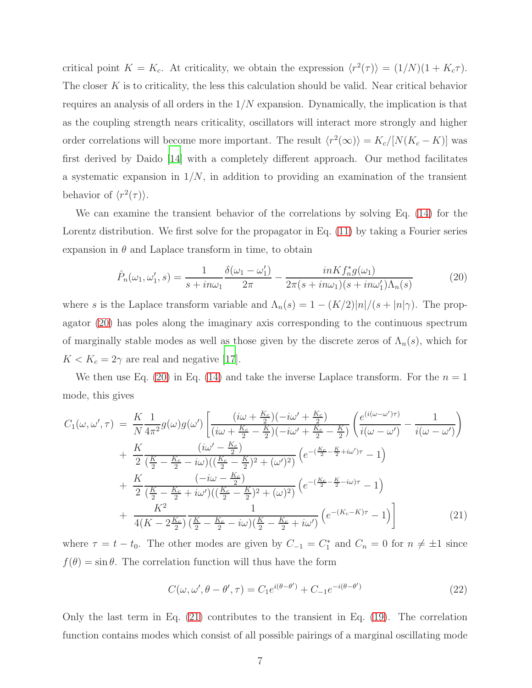critical point  $K = K_c$ . At criticality, we obtain the expression  $\langle r^2(\tau) \rangle = (1/N)(1 + K_c \tau)$ . The closer K is to criticality, the less this calculation should be valid. Near critical behavior requires an analysis of all orders in the  $1/N$  expansion. Dynamically, the implication is that as the coupling strength nears criticality, oscillators will interact more strongly and higher order correlations will become more important. The result  $\langle r^2(\infty) \rangle = K_c/[N(K_c - K)]$  was first derived by Daido [\[14](#page-10-4)] with a completely different approach. Our method facilitates a systematic expansion in  $1/N$ , in addition to providing an examination of the transient behavior of  $\langle r^2(\tau) \rangle$ .

We can examine the transient behavior of the correlations by solving Eq. [\(14\)](#page-5-0) for the Lorentz distribution. We first solve for the propagator in Eq. [\(11\)](#page-4-3) by taking a Fourier series expansion in  $\theta$  and Laplace transform in time, to obtain

<span id="page-6-0"></span>
$$
\hat{P}_n(\omega_1, \omega'_1, s) = \frac{1}{s + in\omega_1} \frac{\delta(\omega_1 - \omega'_1)}{2\pi} - \frac{inKf_n^*g(\omega_1)}{2\pi(s + in\omega_1)(s + in\omega'_1)\Lambda_n(s)}\tag{20}
$$

where s is the Laplace transform variable and  $\Lambda_n(s) = 1 - (K/2)|n|/(s + |n|\gamma)$ . The propagator [\(20\)](#page-6-0) has poles along the imaginary axis corresponding to the continuous spectrum of marginally stable modes as well as those given by the discrete zeros of  $\Lambda_n(s)$ , which for  $K < K_c = 2\gamma$  are real and negative [\[17](#page-10-7)].

We then use Eq. [\(20\)](#page-6-0) in Eq. [\(14\)](#page-5-0) and take the inverse Laplace transform. For the  $n = 1$ mode, this gives

<span id="page-6-1"></span>
$$
C_{1}(\omega,\omega',\tau) = \frac{K}{N} \frac{1}{4\pi^{2}} g(\omega)g(\omega') \left[ \frac{(i\omega + \frac{K_{c}}{2})(-i\omega' + \frac{K_{c}}{2})}{(i\omega + \frac{K_{c}}{2} - \frac{K}{2})(-i\omega' + \frac{K_{c}}{2} - \frac{K}{2})} \left( \frac{e^{(i(\omega - \omega')\tau)}}{i(\omega - \omega')} - \frac{1}{i(\omega - \omega')}\right) \right] + \frac{K}{2} \frac{(i\omega' - \frac{K_{c}}{2})}{(\frac{K}{2} - \frac{K_{c}}{2} - i\omega)((\frac{K_{c}}{2} - \frac{K}{2})^{2} + (\omega')^{2})} \left( e^{-(\frac{K_{c}}{2} - \frac{K}{2} + i\omega')\tau} - 1 \right) + \frac{K}{2} \frac{(-i\omega - \frac{K_{c}}{2})}{(\frac{K}{2} - \frac{K_{c}}{2} + i\omega')((\frac{K_{c}}{2} - \frac{K}{2})^{2} + (\omega)^{2})} \left( e^{-(\frac{K_{c}}{2} - \frac{K}{2} - i\omega)\tau} - 1 \right) + \frac{K^{2}}{4(K - 2\frac{K_{c}}{2})} \frac{1}{(\frac{K}{2} - \frac{K_{c}}{2} - i\omega)(\frac{K}{2} - \frac{K_{c}}{2} + i\omega')} \left( e^{-(K_{c} - K)\tau} - 1 \right)
$$
(21)

where  $\tau = t - t_0$ . The other modes are given by  $C_{-1} = C_1^*$  and  $C_n = 0$  for  $n \neq \pm 1$  since  $f(\theta) = \sin \theta$ . The correlation function will thus have the form

<span id="page-6-2"></span>
$$
C(\omega, \omega', \theta - \theta', \tau) = C_1 e^{i(\theta - \theta')} + C_{-1} e^{-i(\theta - \theta')}
$$
\n(22)

Only the last term in Eq. [\(21\)](#page-6-1) contributes to the transient in Eq. [\(19\)](#page-5-4). The correlation function contains modes which consist of all possible pairings of a marginal oscillating mode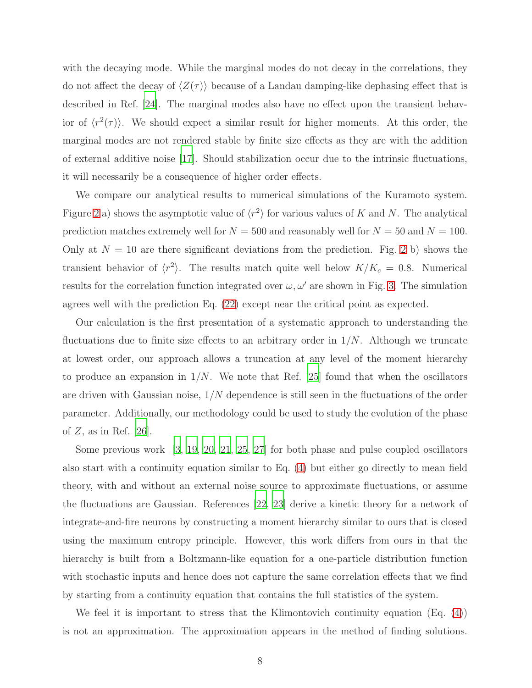with the decaying mode. While the marginal modes do not decay in the correlations, they do not affect the decay of  $\langle Z(\tau) \rangle$  because of a Landau damping-like dephasing effect that is described in Ref. [\[24\]](#page-10-14). The marginal modes also have no effect upon the transient behavior of  $\langle r^2(\tau) \rangle$ . We should expect a similar result for higher moments. At this order, the marginal modes are not rendered stable by finite size effects as they are with the addition of external additive noise [\[17](#page-10-7)]. Should stabilization occur due to the intrinsic fluctuations, it will necessarily be a consequence of higher order effects.

We compare our analytical results to numerical simulations of the Kuramoto system. Figure [2](#page-8-0) a) shows the asymptotic value of  $\langle r^2 \rangle$  for various values of K and N. The analytical prediction matches extremely well for  $N = 500$  and reasonably well for  $N = 50$  and  $N = 100$ . Only at  $N = 10$  are there significant deviations from the prediction. Fig. [2](#page-8-0) b) shows the transient behavior of  $\langle r^2 \rangle$ . The results match quite well below  $K/K_c = 0.8$ . Numerical results for the correlation function integrated over  $\omega, \omega'$  are shown in Fig. [3.](#page-9-9) The simulation agrees well with the prediction Eq. [\(22\)](#page-6-2) except near the critical point as expected.

Our calculation is the first presentation of a systematic approach to understanding the fluctuations due to finite size effects to an arbitrary order in  $1/N$ . Although we truncate at lowest order, our approach allows a truncation at any level of the moment hierarchy to produce an expansion in  $1/N$ . We note that Ref. [\[25\]](#page-10-15) found that when the oscillators are driven with Gaussian noise,  $1/N$  dependence is still seen in the fluctuations of the order parameter. Additionally, our methodology could be used to study the evolution of the phase of  $Z$ , as in Ref. [\[26\]](#page-10-16).

Some previous work [\[3,](#page-9-2) [19,](#page-10-9) [20](#page-10-10), [21,](#page-10-11) [25,](#page-10-15) [27](#page-10-17)] for both phase and pulse coupled oscillators also start with a continuity equation similar to Eq. [\(4\)](#page-2-1) but either go directly to mean field theory, with and without an external noise source to approximate fluctuations, or assume the fluctuations are Gaussian. References [\[22,](#page-10-12) [23](#page-10-13)] derive a kinetic theory for a network of integrate-and-fire neurons by constructing a moment hierarchy similar to ours that is closed using the maximum entropy principle. However, this work differs from ours in that the hierarchy is built from a Boltzmann-like equation for a one-particle distribution function with stochastic inputs and hence does not capture the same correlation effects that we find by starting from a continuity equation that contains the full statistics of the system.

We feel it is important to stress that the Klimontovich continuity equation (Eq. [\(4\)](#page-2-1)) is not an approximation. The approximation appears in the method of finding solutions.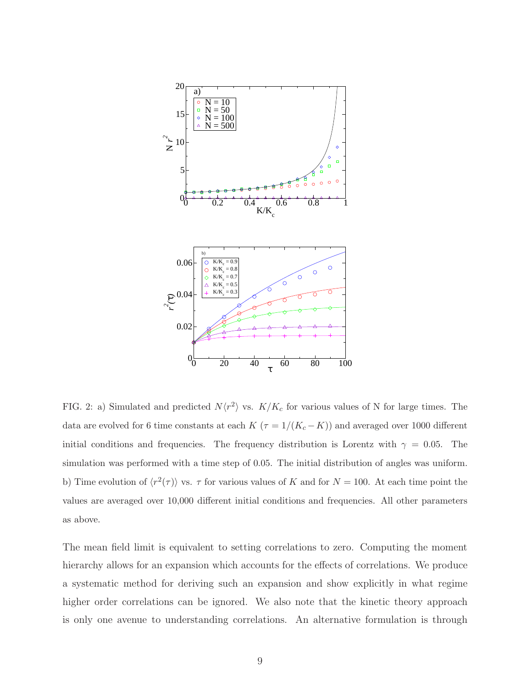

<span id="page-8-0"></span>FIG. 2: a) Simulated and predicted  $N\langle r^2 \rangle$  vs.  $K/K_c$  for various values of N for large times. The data are evolved for 6 time constants at each  $K$   $(\tau=1/(K_c-K))$  and averaged over 1000 different initial conditions and frequencies. The frequency distribution is Lorentz with  $\gamma = 0.05$ . The simulation was performed with a time step of 0.05. The initial distribution of angles was uniform. b) Time evolution of  $\langle r^2(\tau) \rangle$  vs.  $\tau$  for various values of K and for  $N = 100$ . At each time point the values are averaged over 10,000 different initial conditions and frequencies. All other parameters as above.

The mean field limit is equivalent to setting correlations to zero. Computing the moment hierarchy allows for an expansion which accounts for the effects of correlations. We produce a systematic method for deriving such an expansion and show explicitly in what regime higher order correlations can be ignored. We also note that the kinetic theory approach is only one avenue to understanding correlations. An alternative formulation is through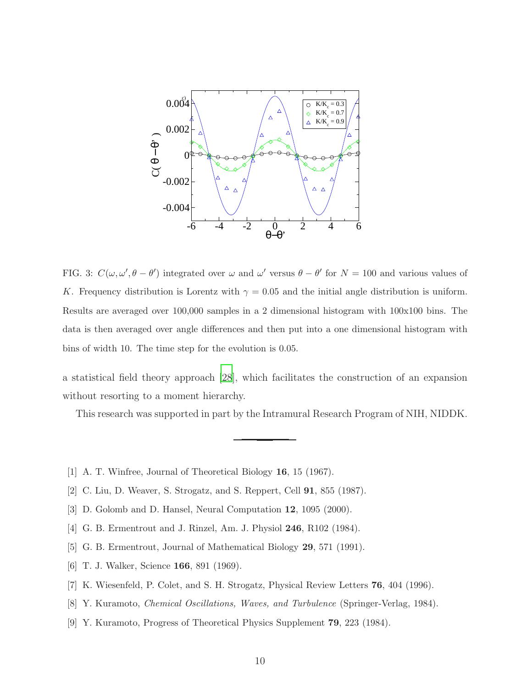

<span id="page-9-9"></span>FIG. 3:  $C(\omega, \omega', \theta - \theta')$  integrated over  $\omega$  and  $\omega'$  versus  $\theta - \theta'$  for  $N = 100$  and various values of K. Frequency distribution is Lorentz with  $\gamma = 0.05$  and the initial angle distribution is uniform. Results are averaged over 100,000 samples in a 2 dimensional histogram with 100x100 bins. The data is then averaged over angle differences and then put into a one dimensional histogram with bins of width 10. The time step for the evolution is 0.05.

a statistical field theory approach [\[28](#page-10-18)], which facilitates the construction of an expansion without resorting to a moment hierarchy.

This research was supported in part by the Intramural Research Program of NIH, NIDDK.

- <span id="page-9-0"></span>[1] A. T. Winfree, Journal of Theoretical Biology 16, 15 (1967).
- <span id="page-9-1"></span>[2] C. Liu, D. Weaver, S. Strogatz, and S. Reppert, Cell 91, 855 (1987).
- <span id="page-9-2"></span>[3] D. Golomb and D. Hansel, Neural Computation 12, 1095 (2000).
- <span id="page-9-3"></span>[4] G. B. Ermentrout and J. Rinzel, Am. J. Physiol 246, R102 (1984).
- <span id="page-9-4"></span>[5] G. B. Ermentrout, Journal of Mathematical Biology 29, 571 (1991).
- <span id="page-9-5"></span>[6] T. J. Walker, Science 166, 891 (1969).
- <span id="page-9-6"></span>[7] K. Wiesenfeld, P. Colet, and S. H. Strogatz, Physical Review Letters 76, 404 (1996).
- <span id="page-9-7"></span>[8] Y. Kuramoto, Chemical Oscillations, Waves, and Turbulence (Springer-Verlag, 1984).
- <span id="page-9-8"></span>[9] Y. Kuramoto, Progress of Theoretical Physics Supplement 79, 223 (1984).